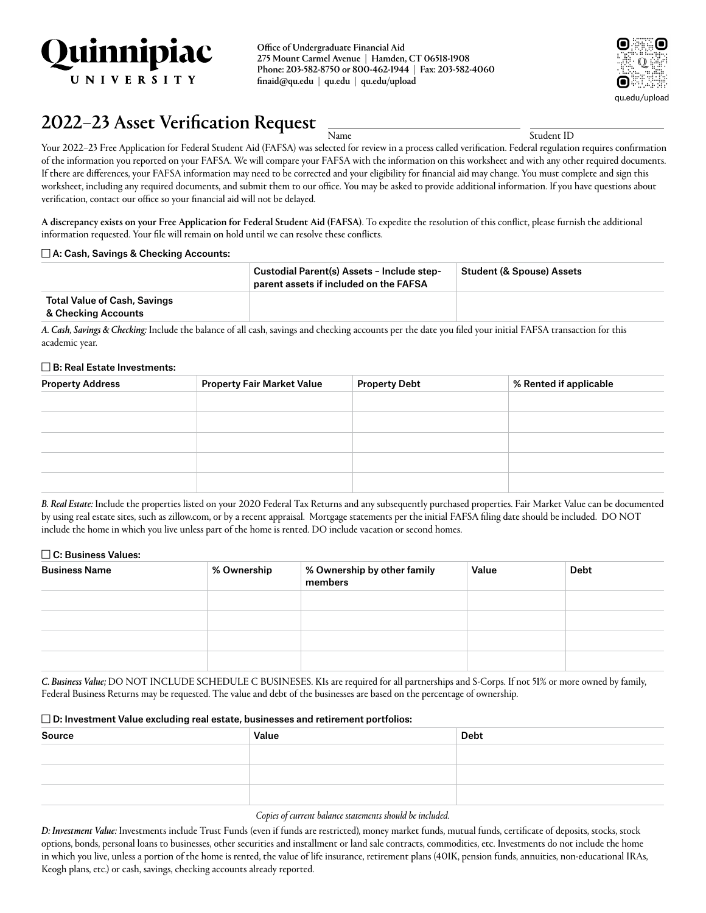

Office of Undergraduate Financial Aid 275 Mount Carmel Avenue | Hamden, CT 06518-1908 Phone: 203-582-8750 or 800-462-1944 | Fax: 203-582-4060 [finaid@qu.edu](mailto:finaid@quinnipiac.edu) | [qu.edu](http://qu.edu) | [qu.edu/upload](http://qu.edu/upload)



# 2022–23 Asset Verification Request  $\frac{1}{N_\text{amec}}$   $\frac{1}{N_\text{MMC}}$

Your 2022–23 Free Application for Federal Student Aid (FAFSA) was selected for review in a process called verification. Federal regulation requires confirmation of the information you reported on your FAFSA. We will compare your FAFSA with the information on this worksheet and with any other required documents. If there are differences, your FAFSA information may need to be corrected and your eligibility for financial aid may change. You must complete and sign this worksheet, including any required documents, and submit them to our office. You may be asked to provide additional information. If you have questions about verification, contact our office so your financial aid will not be delayed.

A discrepancy exists on your Free Application for Federal Student Aid (FAFSA). To expedite the resolution of this conflict, please furnish the additional information requested. Your file will remain on hold until we can resolve these conflicts.

### $\Box$  A: Cash, Savings & Checking Accounts:

|                                                            | Custodial Parent(s) Assets - Include step-<br>$^{\circ}$ parent assets if included on the FAFSA $^{\circ}$ | <b>Student (&amp; Spouse) Assets</b> |
|------------------------------------------------------------|------------------------------------------------------------------------------------------------------------|--------------------------------------|
| <b>Total Value of Cash, Savings</b><br>& Checking Accounts |                                                                                                            |                                      |

*A. Cash, Savings & Checking:* Include the balance of all cash, savings and checking accounts per the date you filed your initial FAFSA transaction for this academic year.

#### $\square$  B: Real Estate Investments:

| <b>Property Address</b> | <b>Property Fair Market Value</b> | <b>Property Debt</b> | % Rented if applicable |
|-------------------------|-----------------------------------|----------------------|------------------------|
|                         |                                   |                      |                        |
|                         |                                   |                      |                        |
|                         |                                   |                      |                        |
|                         |                                   |                      |                        |
|                         |                                   |                      |                        |
|                         |                                   |                      |                        |

*B. Real Estate:* Include the properties listed on your 2020 Federal Tax Returns and any subsequently purchased properties. Fair Market Value can be documented by using real estate sites, such as [zillow.com](http://zillow.com), or by a recent appraisal. Mortgage statements per the initial FAFSA filing date should be included. DO NOT include the home in which you live unless part of the home is rented. DO include vacation or second homes.

### $\Box$  C: Business Values:

| <b>Business Name</b> | % Ownership | % Ownership by other family<br>members | Value | <b>Debt</b> |
|----------------------|-------------|----------------------------------------|-------|-------------|
|                      |             |                                        |       |             |
|                      |             |                                        |       |             |
|                      |             |                                        |       |             |
|                      |             |                                        |       |             |

*C. Business Value;* DO NOT INCLUDE SCHEDULE C BUSINESES. K1s are required for all partnerships and S-Corps. If not 51% or more owned by family, Federal Business Returns may be requested. The value and debt of the businesses are based on the percentage of ownership.

### $\square$  D: Investment Value excluding real estate, businesses and retirement portfolios:

| Source | Value | Debt |
|--------|-------|------|
|        |       |      |
|        |       |      |
|        |       |      |

#### *Copies of current balance statements should be included.*

*D: Investment Value:* Investments include Trust Funds (even if funds are restricted), money market funds, mutual funds, certificate of deposits, stocks, stock options, bonds, personal loans to businesses, other securities and installment or land sale contracts, commodities, etc. Investments do not include the home in which you live, unless a portion of the home is rented, the value of life insurance, retirement plans (401K, pension funds, annuities, non-educational IRAs, Keogh plans, etc.) or cash, savings, checking accounts already reported.